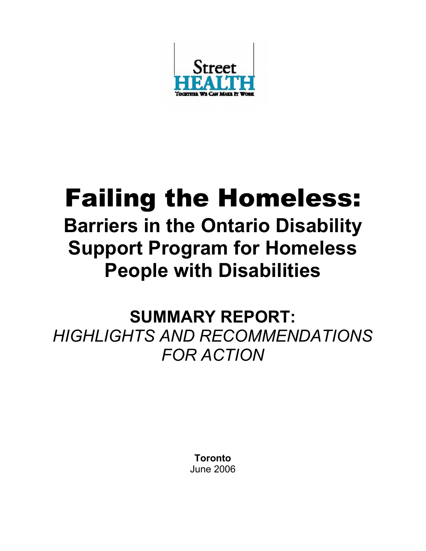

# Failing the Homeless:

## Barriers in the Ontario Disability Support Program for Homeless People with Disabilities

SUMMARY REPORT: HIGHLIGHTS AND RECOMMENDATIONS FOR ACTION

> Toronto June 2006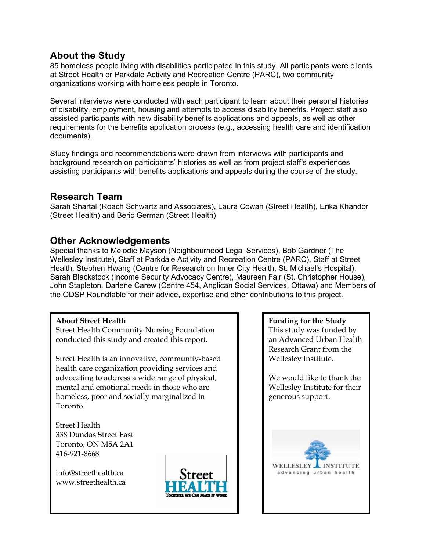## About the Study

85 homeless people living with disabilities participated in this study. All participants were clients at Street Health or Parkdale Activity and Recreation Centre (PARC), two community organizations working with homeless people in Toronto.

Several interviews were conducted with each participant to learn about their personal histories of disability, employment, housing and attempts to access disability benefits. Project staff also assisted participants with new disability benefits applications and appeals, as well as other requirements for the benefits application process (e.g., accessing health care and identification documents).

Study findings and recommendations were drawn from interviews with participants and background research on participants' histories as well as from project staff's experiences assisting participants with benefits applications and appeals during the course of the study.

#### Research Team

Sarah Shartal (Roach Schwartz and Associates), Laura Cowan (Street Health), Erika Khandor (Street Health) and Beric German (Street Health)

## Other Acknowledgements

Special thanks to Melodie Mayson (Neighbourhood Legal Services), Bob Gardner (The Wellesley Institute), Staff at Parkdale Activity and Recreation Centre (PARC), Staff at Street Health, Stephen Hwang (Centre for Research on Inner City Health, St. Michael's Hospital), Sarah Blackstock (Income Security Advocacy Centre), Maureen Fair (St. Christopher House), John Stapleton, Darlene Carew (Centre 454, Anglican Social Services, Ottawa) and Members of the ODSP Roundtable for their advice, expertise and other contributions to this project.

#### About Street Health

Street Health Community Nursing Foundation conducted this study and created this report.

Street Health is an innovative, community-based health care organization providing services and advocating to address a wide range of physical, mental and emotional needs in those who are homeless, poor and socially marginalized in Toronto.

Street Health 338 Dundas Street East Toronto, ON M5A 2A1 416-921-8668

info@streethealth.ca [www.streethealth.ca](http://www.streethealth.ca/)



#### Funding for the Study This study was funded by an Advanced Urban Health Research Grant from the Wellesley Institute.

We would like to thank the Wellesley Institute for their generous support.

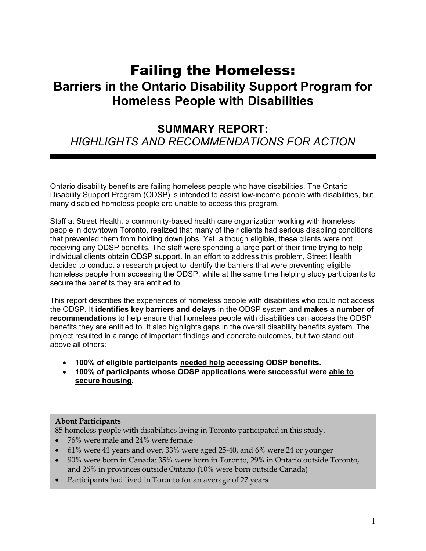## Failing the Homeless: Barriers in the Ontario Disability Support Program for Homeless People with Disabilities

## SUMMARY REPORT: HIGHLIGHTS AND RECOMMENDATIONS FOR ACTION

Ontario disability benefits are failing homeless people who have disabilities. The Ontario Disability Support Program (ODSP) is intended to assist low-income people with disabilities, but many disabled homeless people are unable to access this program.

Staff at Street Health, a community-based health care organization working with homeless people in downtown Toronto, realized that many of their clients had serious disabling conditions that prevented them from holding down jobs. Yet, although eligible, these clients were not receiving any ODSP benefits. The staff were spending a large part of their time trying to help individual clients obtain ODSP support. In an effort to address this problem, Street Health decided to conduct a research project to identify the barriers that were preventing eligible homeless people from accessing the ODSP, while at the same time helping study participants to secure the benefits they are entitled to.

This report describes the experiences of homeless people with disabilities who could not access the ODSP. It identifies key barriers and delays in the ODSP system and makes a number of recommendations to help ensure that homeless people with disabilities can access the ODSP benefits they are entitled to. It also highlights gaps in the overall disability benefits system. The project resulted in a range of important findings and concrete outcomes, but two stand out above all others:

- 100% of eligible participants needed help accessing ODSP benefits.
- 100% of participants whose ODSP applications were successful were able to secure housing.

#### About Participants

85 homeless people with disabilities living in Toronto participated in this study.

- 76% were male and 24% were female
- 61% were 41 years and over, 33% were aged 25-40, and 6% were 24 or younger
- 90% were born in Canada: 35% were born in Toronto, 29% in Ontario outside Toronto, and 26% in provinces outside Ontario (10% were born outside Canada)
- Participants had lived in Toronto for an average of 27 years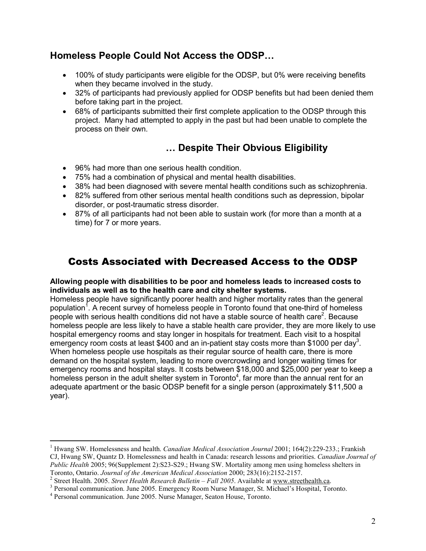## Homeless People Could Not Access the ODSP…

- 100% of study participants were eligible for the ODSP, but 0% were receiving benefits when they became involved in the study.
- 32% of participants had previously applied for ODSP benefits but had been denied them before taking part in the project.
- 68% of participants submitted their first complete application to the ODSP through this project. Many had attempted to apply in the past but had been unable to complete the process on their own.

## … Despite Their Obvious Eligibility

- 96% had more than one serious health condition.
- 75% had a combination of physical and mental health disabilities.
- 38% had been diagnosed with severe mental health conditions such as schizophrenia.
- 82% suffered from other serious mental health conditions such as depression, bipolar disorder, or post-traumatic stress disorder.
- 87% of all participants had not been able to sustain work (for more than a month at a time) for 7 or more years.

## Costs Associated with Decreased Access to the ODSP

#### Allowing people with disabilities to be poor and homeless leads to increased costs to individuals as well as to the health care and city shelter systems.

Homeless people have significantly poorer health and higher mortality rates than the general population<sup>1</sup>. A recent survey of homeless people in Toronto found that one-third of homeless people with serious health conditions did not have a stable source of health care<sup>2</sup>. Because homeless people are less likely to have a stable health care provider, they are more likely to use hospital emergency rooms and stay longer in hospitals for treatment. Each visit to a hospital emergency room costs at least \$400 and an in-patient stay costs more than \$1000 per day<sup>3</sup>. When homeless people use hospitals as their regular source of health care, there is more demand on the hospital system, leading to more overcrowding and longer waiting times for emergency rooms and hospital stays. It costs between \$18,000 and \$25,000 per year to keep a homeless person in the adult shelter system in Toronto<sup>4</sup>, far more than the annual rent for an adequate apartment or the basic ODSP benefit for a single person (approximately \$11,500 a year).

 $\overline{a}$ <sup>1</sup> Hwang SW. Homelessness and health. Canadian Medical Association Journal 2001; 164(2):229-233.; Frankish CJ, Hwang SW, Quantz D. Homelessness and health in Canada: research lessons and priorities. Canadian Journal of Public Health 2005; 96(Supplement 2):S23-S29.; Hwang SW. Mortality among men using homeless shelters in Toronto, Ontario. Journal of the American Medical Association 2000; 283(16):2152-2157.

<sup>&</sup>lt;sup>2</sup> Street Health. 2005. Street Health Research Bulletin – Fall 2005. Available at www.streethealth.ca.

<sup>&</sup>lt;sup>3</sup> Personal communication. June 2005. Emergency Room Nurse Manager, St. Michael's Hospital, Toronto.

<sup>4</sup> Personal communication. June 2005. Nurse Manager, Seaton House, Toronto.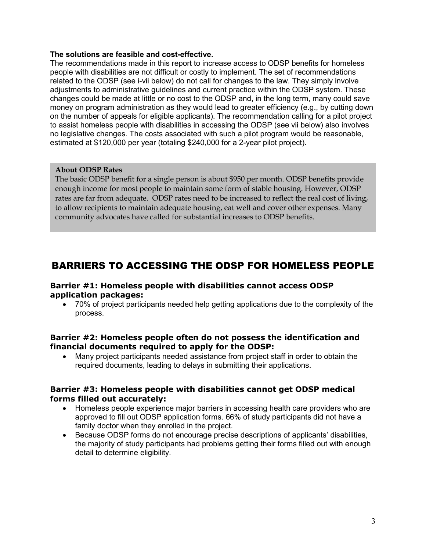#### The solutions are feasible and cost-effective.

The recommendations made in this report to increase access to ODSP benefits for homeless people with disabilities are not difficult or costly to implement. The set of recommendations related to the ODSP (see i-vii below) do not call for changes to the law. They simply involve adjustments to administrative guidelines and current practice within the ODSP system. These changes could be made at little or no cost to the ODSP and, in the long term, many could save money on program administration as they would lead to greater efficiency (e.g., by cutting down on the number of appeals for eligible applicants). The recommendation calling for a pilot project to assist homeless people with disabilities in accessing the ODSP (see vii below) also involves no legislative changes. The costs associated with such a pilot program would be reasonable, estimated at \$120,000 per year (totaling \$240,000 for a 2-year pilot project).

#### About ODSP Rates

The basic ODSP benefit for a single person is about \$950 per month. ODSP benefits provide enough income for most people to maintain some form of stable housing. However, ODSP rates are far from adequate. ODSP rates need to be increased to reflect the real cost of living, to allow recipients to maintain adequate housing, eat well and cover other expenses. Many community advocates have called for substantial increases to ODSP benefits.

## BARRIERS TO ACCESSING THE ODSP FOR HOMELESS PEOPLE

#### Barrier #1: Homeless people with disabilities cannot access ODSP application packages:

• 70% of project participants needed help getting applications due to the complexity of the process.

#### Barrier #2: Homeless people often do not possess the identification and financial documents required to apply for the ODSP:

• Many project participants needed assistance from project staff in order to obtain the required documents, leading to delays in submitting their applications.

#### Barrier #3: Homeless people with disabilities cannot get ODSP medical forms filled out accurately:

- Homeless people experience major barriers in accessing health care providers who are approved to fill out ODSP application forms. 66% of study participants did not have a family doctor when they enrolled in the project.
- Because ODSP forms do not encourage precise descriptions of applicants' disabilities, the majority of study participants had problems getting their forms filled out with enough detail to determine eligibility.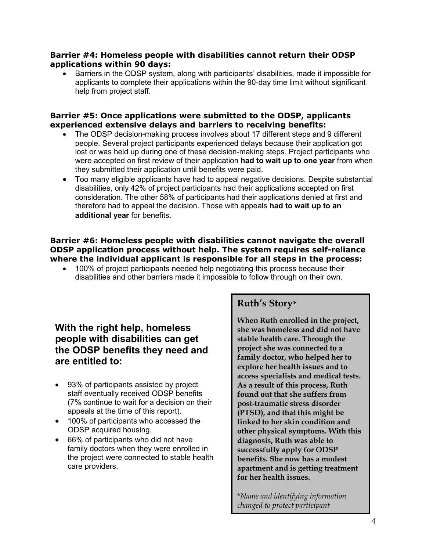#### Barrier #4: Homeless people with disabilities cannot return their ODSP applications within 90 days:

• Barriers in the ODSP system, along with participants' disabilities, made it impossible for applicants to complete their applications within the 90-day time limit without significant help from project staff.

#### Barrier #5: Once applications were submitted to the ODSP, applicants experienced extensive delays and barriers to receiving benefits:

- The ODSP decision-making process involves about 17 different steps and 9 different people. Several project participants experienced delays because their application got lost or was held up during one of these decision-making steps. Project participants who were accepted on first review of their application had to wait up to one year from when they submitted their application until benefits were paid.
- Too many eligible applicants have had to appeal negative decisions. Despite substantial disabilities, only 42% of project participants had their applications accepted on first consideration. The other 58% of participants had their applications denied at first and therefore had to appeal the decision. Those with appeals had to wait up to an additional year for benefits.

#### Barrier #6: Homeless people with disabilities cannot navigate the overall ODSP application process without help. The system requires self-reliance where the individual applicant is responsible for all steps in the process:

• 100% of project participants needed help negotiating this process because their disabilities and other barriers made it impossible to follow through on their own.

## With the right help, homeless people with disabilities can get the ODSP benefits they need and are entitled to:

- 93% of participants assisted by project staff eventually received ODSP benefits (7% continue to wait for a decision on their appeals at the time of this report).
- 100% of participants who accessed the ODSP acquired housing.
- 66% of participants who did not have family doctors when they were enrolled in the project were connected to stable health care providers.

## Ruth's Story\*

When Ruth enrolled in the project, she was homeless and did not have stable health care. Through the project she was connected to a family doctor, who helped her to explore her health issues and to access specialists and medical tests. As a result of this process, Ruth found out that she suffers from post-traumatic stress disorder (PTSD), and that this might be linked to her skin condition and other physical symptoms. With this diagnosis, Ruth was able to successfully apply for ODSP benefits. She now has a modest apartment and is getting treatment for her health issues.

\*Name and identifying information changed to protect participant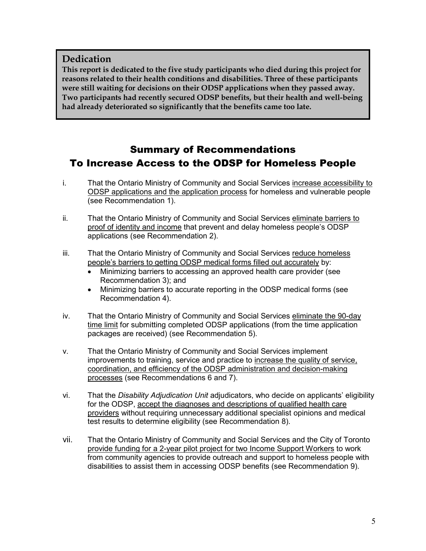#### Dedication

This report is dedicated to the five study participants who died during this project for reasons related to their health conditions and disabilities. Three of these participants were still waiting for decisions on their ODSP applications when they passed away. Two participants had recently secured ODSP benefits, but their health and well-being had already deteriorated so significantly that the benefits came too late.

## Summary of Recommendations To Increase Access to the ODSP for Homeless People

- i. That the Ontario Ministry of Community and Social Services increase accessibility to ODSP applications and the application process for homeless and vulnerable people (see Recommendation 1).
- ii. That the Ontario Ministry of Community and Social Services eliminate barriers to proof of identity and income that prevent and delay homeless people's ODSP applications (see Recommendation 2).
- iii. That the Ontario Ministry of Community and Social Services reduce homeless people's barriers to getting ODSP medical forms filled out accurately by:
	- Minimizing barriers to accessing an approved health care provider (see Recommendation 3); and
	- Minimizing barriers to accurate reporting in the ODSP medical forms (see Recommendation 4).
- iv. That the Ontario Ministry of Community and Social Services eliminate the 90-day time limit for submitting completed ODSP applications (from the time application packages are received) (see Recommendation 5).
- v. That the Ontario Ministry of Community and Social Services implement improvements to training, service and practice to increase the quality of service, coordination, and efficiency of the ODSP administration and decision-making processes (see Recommendations 6 and 7).
- vi. That the Disability Adjudication Unit adjudicators, who decide on applicants' eligibility for the ODSP, accept the diagnoses and descriptions of qualified health care providers without requiring unnecessary additional specialist opinions and medical test results to determine eligibility (see Recommendation 8).
- vii. That the Ontario Ministry of Community and Social Services and the City of Toronto provide funding for a 2-year pilot project for two Income Support Workers to work from community agencies to provide outreach and support to homeless people with disabilities to assist them in accessing ODSP benefits (see Recommendation 9).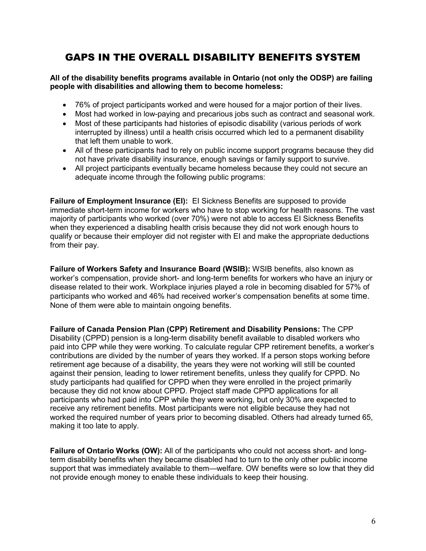## GAPS IN THE OVERALL DISABILITY BENEFITS SYSTEM

#### All of the disability benefits programs available in Ontario (not only the ODSP) are failing people with disabilities and allowing them to become homeless:

- 76% of project participants worked and were housed for a major portion of their lives.
- Most had worked in low-paying and precarious jobs such as contract and seasonal work.
- Most of these participants had histories of episodic disability (various periods of work interrupted by illness) until a health crisis occurred which led to a permanent disability that left them unable to work.
- All of these participants had to rely on public income support programs because they did not have private disability insurance, enough savings or family support to survive.
- All project participants eventually became homeless because they could not secure an adequate income through the following public programs:

Failure of Employment Insurance (EI): EI Sickness Benefits are supposed to provide immediate short-term income for workers who have to stop working for health reasons. The vast majority of participants who worked (over 70%) were not able to access EI Sickness Benefits when they experienced a disabling health crisis because they did not work enough hours to qualify or because their employer did not register with EI and make the appropriate deductions from their pay.

Failure of Workers Safety and Insurance Board (WSIB): WSIB benefits, also known as worker's compensation, provide short- and long-term benefits for workers who have an injury or disease related to their work. Workplace injuries played a role in becoming disabled for 57% of participants who worked and 46% had received worker's compensation benefits at some time. None of them were able to maintain ongoing benefits.

Failure of Canada Pension Plan (CPP) Retirement and Disability Pensions: The CPP Disability (CPPD) pension is a long-term disability benefit available to disabled workers who paid into CPP while they were working. To calculate regular CPP retirement benefits, a worker's contributions are divided by the number of years they worked. If a person stops working before retirement age because of a disability, the years they were not working will still be counted against their pension, leading to lower retirement benefits, unless they qualify for CPPD. No study participants had qualified for CPPD when they were enrolled in the project primarily because they did not know about CPPD. Project staff made CPPD applications for all participants who had paid into CPP while they were working, but only 30% are expected to receive any retirement benefits. Most participants were not eligible because they had not worked the required number of years prior to becoming disabled. Others had already turned 65, making it too late to apply.

Failure of Ontario Works (OW): All of the participants who could not access short- and longterm disability benefits when they became disabled had to turn to the only other public income support that was immediately available to them—welfare. OW benefits were so low that they did not provide enough money to enable these individuals to keep their housing.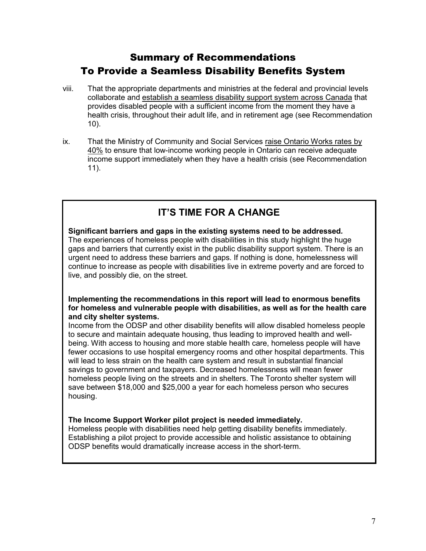## Summary of Recommendations To Provide a Seamless Disability Benefits System

- viii. That the appropriate departments and ministries at the federal and provincial levels collaborate and establish a seamless disability support system across Canada that provides disabled people with a sufficient income from the moment they have a health crisis, throughout their adult life, and in retirement age (see Recommendation 10).
- ix. That the Ministry of Community and Social Services raise Ontario Works rates by 40% to ensure that low-income working people in Ontario can receive adequate income support immediately when they have a health crisis (see Recommendation 11).

## IT'S TIME FOR A CHANGE

#### Significant barriers and gaps in the existing systems need to be addressed. The experiences of homeless people with disabilities in this study highlight the huge gaps and barriers that currently exist in the public disability support system. There is an urgent need to address these barriers and gaps. If nothing is done, homelessness will continue to increase as people with disabilities live in extreme poverty and are forced to live, and possibly die, on the street.

#### Implementing the recommendations in this report will lead to enormous benefits for homeless and vulnerable people with disabilities, as well as for the health care and city shelter systems.

Income from the ODSP and other disability benefits will allow disabled homeless people to secure and maintain adequate housing, thus leading to improved health and wellbeing. With access to housing and more stable health care, homeless people will have fewer occasions to use hospital emergency rooms and other hospital departments. This will lead to less strain on the health care system and result in substantial financial savings to government and taxpayers. Decreased homelessness will mean fewer homeless people living on the streets and in shelters. The Toronto shelter system will save between \$18,000 and \$25,000 a year for each homeless person who secures housing.

#### The Income Support Worker pilot project is needed immediately.

Homeless people with disabilities need help getting disability benefits immediately. Establishing a pilot project to provide accessible and holistic assistance to obtaining ODSP benefits would dramatically increase access in the short-term.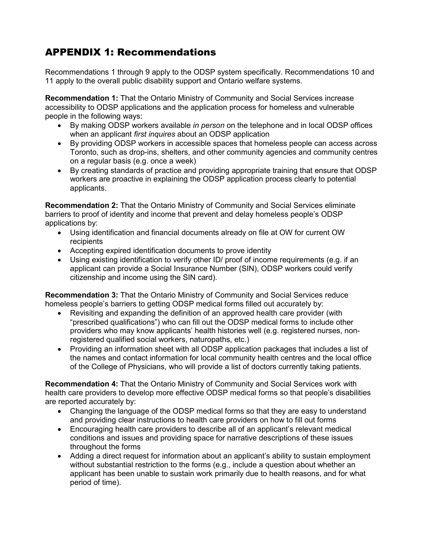## APPENDIX 1: Recommendations

Recommendations 1 through 9 apply to the ODSP system specifically. Recommendations 10 and 11 apply to the overall public disability support and Ontario welfare systems.

Recommendation 1: That the Ontario Ministry of Community and Social Services increase accessibility to ODSP applications and the application process for homeless and vulnerable people in the following ways:

- By making ODSP workers available in person on the telephone and in local ODSP offices when an applicant first inquires about an ODSP application
- By providing ODSP workers in accessible spaces that homeless people can access across Toronto, such as drop-ins, shelters, and other community agencies and community centres on a regular basis (e.g. once a week)
- By creating standards of practice and providing appropriate training that ensure that ODSP workers are proactive in explaining the ODSP application process clearly to potential applicants.

Recommendation 2: That the Ontario Ministry of Community and Social Services eliminate barriers to proof of identity and income that prevent and delay homeless people's ODSP applications by:

- Using identification and financial documents already on file at OW for current OW recipients
- Accepting expired identification documents to prove identity
- Using existing identification to verify other ID/ proof of income requirements (e.g. if an applicant can provide a Social Insurance Number (SIN), ODSP workers could verify citizenship and income using the SIN card).

Recommendation 3: That the Ontario Ministry of Community and Social Services reduce homeless people's barriers to getting ODSP medical forms filled out accurately by:

- Revisiting and expanding the definition of an approved health care provider (with "prescribed qualifications") who can fill out the ODSP medical forms to include other providers who may know applicants' health histories well (e.g. registered nurses, nonregistered qualified social workers, naturopaths, etc.)
- Providing an information sheet with all ODSP application packages that includes a list of the names and contact information for local community health centres and the local office of the College of Physicians, who will provide a list of doctors currently taking patients.

Recommendation 4: That the Ontario Ministry of Community and Social Services work with health care providers to develop more effective ODSP medical forms so that people's disabilities are reported accurately by:

- Changing the language of the ODSP medical forms so that they are easy to understand and providing clear instructions to health care providers on how to fill out forms
- Encouraging health care providers to describe all of an applicant's relevant medical conditions and issues and providing space for narrative descriptions of these issues throughout the forms
- Adding a direct request for information about an applicant's ability to sustain employment without substantial restriction to the forms (e.g., include a question about whether an applicant has been unable to sustain work primarily due to health reasons, and for what period of time).